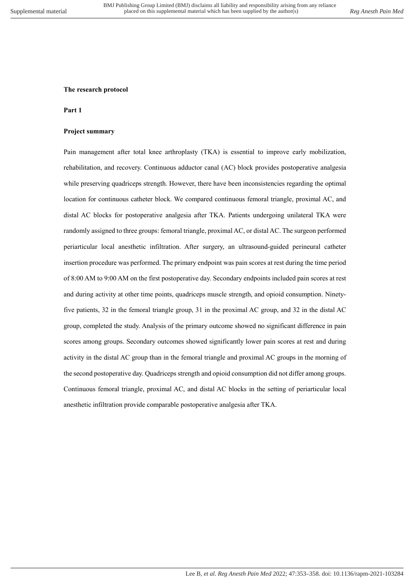## **The research protocol**

## **Part 1**

## **Project summary**

Pain management after total knee arthroplasty (TKA) is essential to improve early mobilization, rehabilitation, and recovery. Continuous adductor canal (AC) block provides postoperative analgesia while preserving quadriceps strength. However, there have been inconsistencies regarding the optimal location for continuous catheter block. We compared continuous femoral triangle, proximal AC, and distal AC blocks for postoperative analgesia after TKA. Patients undergoing unilateral TKA were randomly assigned to three groups: femoral triangle, proximal AC, or distal AC. The surgeon performed periarticular local anesthetic infiltration. After surgery, an ultrasound-guided perineural catheter insertion procedure was performed. The primary endpoint was pain scores at rest during the time period of 8:00 AM to 9:00 AM on the first postoperative day. Secondary endpoints included pain scores at rest and during activity at other time points, quadriceps muscle strength, and opioid consumption. Ninetyfive patients, 32 in the femoral triangle group, 31 in the proximal AC group, and 32 in the distal AC group, completed the study. Analysis of the primary outcome showed no significant difference in pain scores among groups. Secondary outcomes showed significantly lower pain scores at rest and during activity in the distal AC group than in the femoral triangle and proximal AC groups in the morning of the second postoperative day. Quadriceps strength and opioid consumption did not differ among groups. Continuous femoral triangle, proximal AC, and distal AC blocks in the setting of periarticular local anesthetic infiltration provide comparable postoperative analgesia after TKA.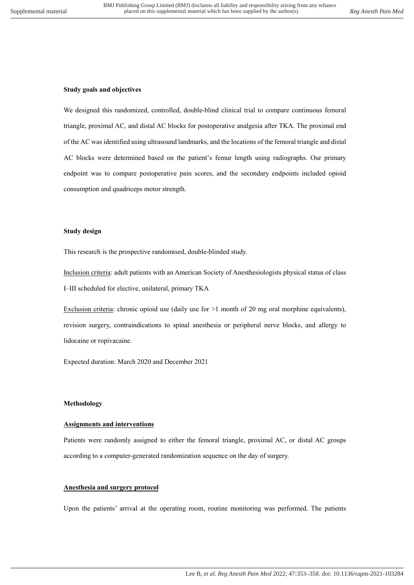#### **Study goals and objectives**

We designed this randomized, controlled, double-blind clinical trial to compare continuous femoral triangle, proximal AC, and distal AC blocks for postoperative analgesia after TKA. The proximal end of the AC was identified using ultrasound landmarks, and the locations of the femoral triangle and distal AC blocks were determined based on the patient's femur length using radiographs. Our primary endpoint was to compare postoperative pain scores, and the secondary endpoints included opioid consumption and quadriceps motor strength.

# **Study design**

This research is the prospective randomised, double-blinded study.

Inclusion criteria: adult patients with an American Society of Anesthesiologists physical status of class I–III scheduled for elective, unilateral, primary TKA

Exclusion criteria: chronic opioid use (daily use for  $>1$  month of 20 mg oral morphine equivalents), revision surgery, contraindications to spinal anesthesia or peripheral nerve blocks, and allergy to lidocaine or ropivacaine.

Expected duration: March 2020 and December 2021

#### **Methodology**

#### **Assignments and interventions**

Patients were randomly assigned to either the femoral triangle, proximal AC, or distal AC groups according to a computer-generated randomization sequence on the day of surgery.

## **Anesthesia and surgery protocol**

Upon the patients' arrival at the operating room, routine monitoring was performed. The patients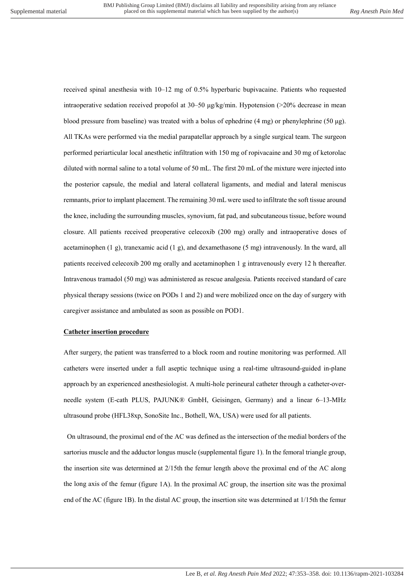received spinal anesthesia with 10–12 mg of 0.5% hyperbaric bupivacaine. Patients who requested intraoperative sedation received propofol at  $30-50 \mu g/kg/min$ . Hypotension ( $>20\%$  decrease in mean blood pressure from baseline) was treated with a bolus of ephedrine (4 mg) or phenylephrine (50 μg). All TKAs were performed via the medial parapatellar approach by a single surgical team. The surgeon performed periarticular local anesthetic infiltration with 150 mg of ropivacaine and 30 mg of ketorolac diluted with normal saline to a total volume of 50 mL. The first 20 mL of the mixture were injected into the posterior capsule, the medial and lateral collateral ligaments, and medial and lateral meniscus remnants, prior to implant placement. The remaining 30 mL were used to infiltrate the soft tissue around the knee, including the surrounding muscles, synovium, fat pad, and subcutaneous tissue, before wound closure. All patients received preoperative celecoxib (200 mg) orally and intraoperative doses of acetaminophen  $(1 \text{ g})$ , tranexamic acid  $(1 \text{ g})$ , and dexamethasone  $(5 \text{ mg})$  intravenously. In the ward, all patients received celecoxib 200 mg orally and acetaminophen 1 g intravenously every 12 h thereafter. Intravenous tramadol (50 mg) was administered as rescue analgesia. Patients received standard of care physical therapy sessions (twice on PODs 1 and 2) and were mobilized once on the day of surgery with caregiver assistance and ambulated as soon as possible on POD1.

#### **Catheter insertion procedure**

After surgery, the patient was transferred to a block room and routine monitoring was performed. All catheters were inserted under a full aseptic technique using a real-time ultrasound-guided in-plane approach by an experienced anesthesiologist. A multi-hole perineural catheter through a catheter-overneedle system (E-cath PLUS, PAJUNK® GmbH, Geisingen, Germany) and a linear 6–13-MHz ultrasound probe (HFL38xp, SonoSite Inc., Bothell, WA, USA) were used for all patients.

On ultrasound, the proximal end of the AC was defined as the intersection of the medial borders of the sartorius muscle and the adductor longus muscle (supplemental figure 1). In the femoral triangle group, the insertion site was determined at 2/15th the femur length above the proximal end of the AC along the long axis of the femur (figure 1A). In the proximal AC group, the insertion site was the proximal end of the AC (figure 1B). In the distal AC group, the insertion site was determined at 1/15th the femur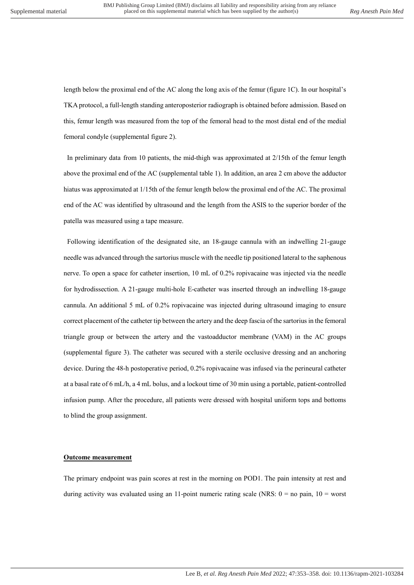length below the proximal end of the AC along the long axis of the femur (figure 1C). In our hospital's TKA protocol, a full-length standing anteroposterior radiograph is obtained before admission. Based on this, femur length was measured from the top of the femoral head to the most distal end of the medial femoral condyle (supplemental figure 2).

In preliminary data from 10 patients, the mid-thigh was approximated at 2/15th of the femur length above the proximal end of the AC (supplemental table 1). In addition, an area 2 cm above the adductor hiatus was approximated at 1/15th of the femur length below the proximal end of the AC. The proximal end of the AC was identified by ultrasound and the length from the ASIS to the superior border of the patella was measured using a tape measure.

Following identification of the designated site, an 18-gauge cannula with an indwelling 21-gauge needle was advanced through the sartorius muscle with the needle tip positioned lateral to the saphenous nerve. To open a space for catheter insertion, 10 mL of 0.2% ropivacaine was injected via the needle for hydrodissection. A 21-gauge multi-hole E-catheter was inserted through an indwelling 18-gauge cannula. An additional 5 mL of 0.2% ropivacaine was injected during ultrasound imaging to ensure correct placement of the catheter tip between the artery and the deep fascia of the sartorius in the femoral triangle group or between the artery and the vastoadductor membrane (VAM) in the AC groups (supplemental figure 3). The catheter was secured with a sterile occlusive dressing and an anchoring device. During the 48-h postoperative period, 0.2% ropivacaine was infused via the perineural catheter at a basal rate of 6 mL/h, a 4 mL bolus, and a lockout time of 30 min using a portable, patient-controlled infusion pump. After the procedure, all patients were dressed with hospital uniform tops and bottoms to blind the group assignment.

#### **Outcome measurement**

The primary endpoint was pain scores at rest in the morning on POD1. The pain intensity at rest and during activity was evaluated using an 11-point numeric rating scale (NRS:  $0 =$  no pain,  $10 =$  worst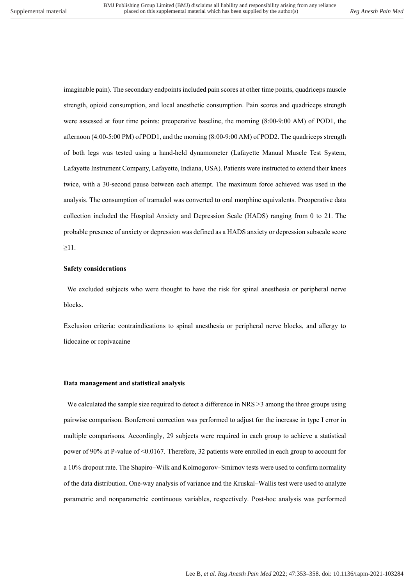imaginable pain). The secondary endpoints included pain scores at other time points, quadriceps muscle strength, opioid consumption, and local anesthetic consumption. Pain scores and quadriceps strength were assessed at four time points: preoperative baseline, the morning (8:00-9:00 AM) of POD1, the afternoon (4:00-5:00 PM) of POD1, and the morning (8:00-9:00 AM) of POD2. The quadriceps strength of both legs was tested using a hand-held dynamometer (Lafayette Manual Muscle Test System, Lafayette Instrument Company, Lafayette, Indiana, USA). Patients were instructed to extend their knees twice, with a 30-second pause between each attempt. The maximum force achieved was used in the analysis. The consumption of tramadol was converted to oral morphine equivalents. Preoperative data collection included the Hospital Anxiety and Depression Scale (HADS) ranging from 0 to 21. The probable presence of anxiety or depression was defined as a HADS anxiety or depression subscale score ≥11.

## **Safety considerations**

We excluded subjects who were thought to have the risk for spinal anesthesia or peripheral nerve blocks.

Exclusion criteria: contraindications to spinal anesthesia or peripheral nerve blocks, and allergy to lidocaine or ropivacaine

#### **Data management and statistical analysis**

We calculated the sample size required to detect a difference in NRS  $>$ 3 among the three groups using pairwise comparison. Bonferroni correction was performed to adjust for the increase in type I error in multiple comparisons. Accordingly, 29 subjects were required in each group to achieve a statistical power of 90% at P-value of <0.0167. Therefore, 32 patients were enrolled in each group to account for a 10% dropout rate. The Shapiro–Wilk and Kolmogorov–Smirnov tests were used to confirm normality of the data distribution. One-way analysis of variance and the Kruskal–Wallis test were used to analyze parametric and nonparametric continuous variables, respectively. Post-hoc analysis was performed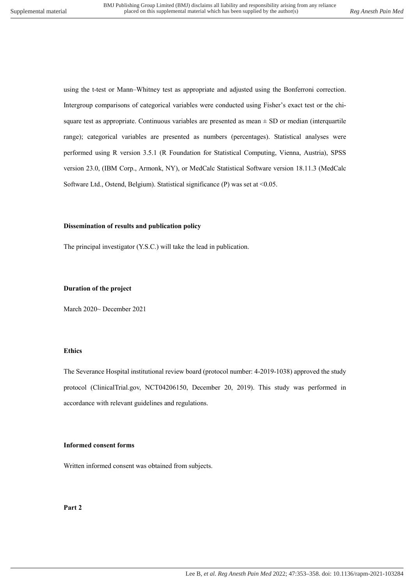using the t-test or Mann–Whitney test as appropriate and adjusted using the Bonferroni correction. Intergroup comparisons of categorical variables were conducted using Fisher's exact test or the chisquare test as appropriate. Continuous variables are presented as mean  $\pm$  SD or median (interquartile range); categorical variables are presented as numbers (percentages). Statistical analyses were performed using R version 3.5.1 (R Foundation for Statistical Computing, Vienna, Austria), SPSS version 23.0, (IBM Corp., Armonk, NY), or MedCalc Statistical Software version 18.11.3 (MedCalc Software Ltd., Ostend, Belgium). Statistical significance (P) was set at <0.05.

## **Dissemination of results and publication policy**

The principal investigator (Y.S.C.) will take the lead in publication.

## **Duration of the project**

March 2020~ December 2021

#### **Ethics**

The Severance Hospital institutional review board (protocol number: 4-2019-1038) approved the study protocol (ClinicalTrial.gov, NCT04206150, December 20, 2019). This study was performed in accordance with relevant guidelines and regulations.

## **Informed consent forms**

Written informed consent was obtained from subjects.

**Part 2**